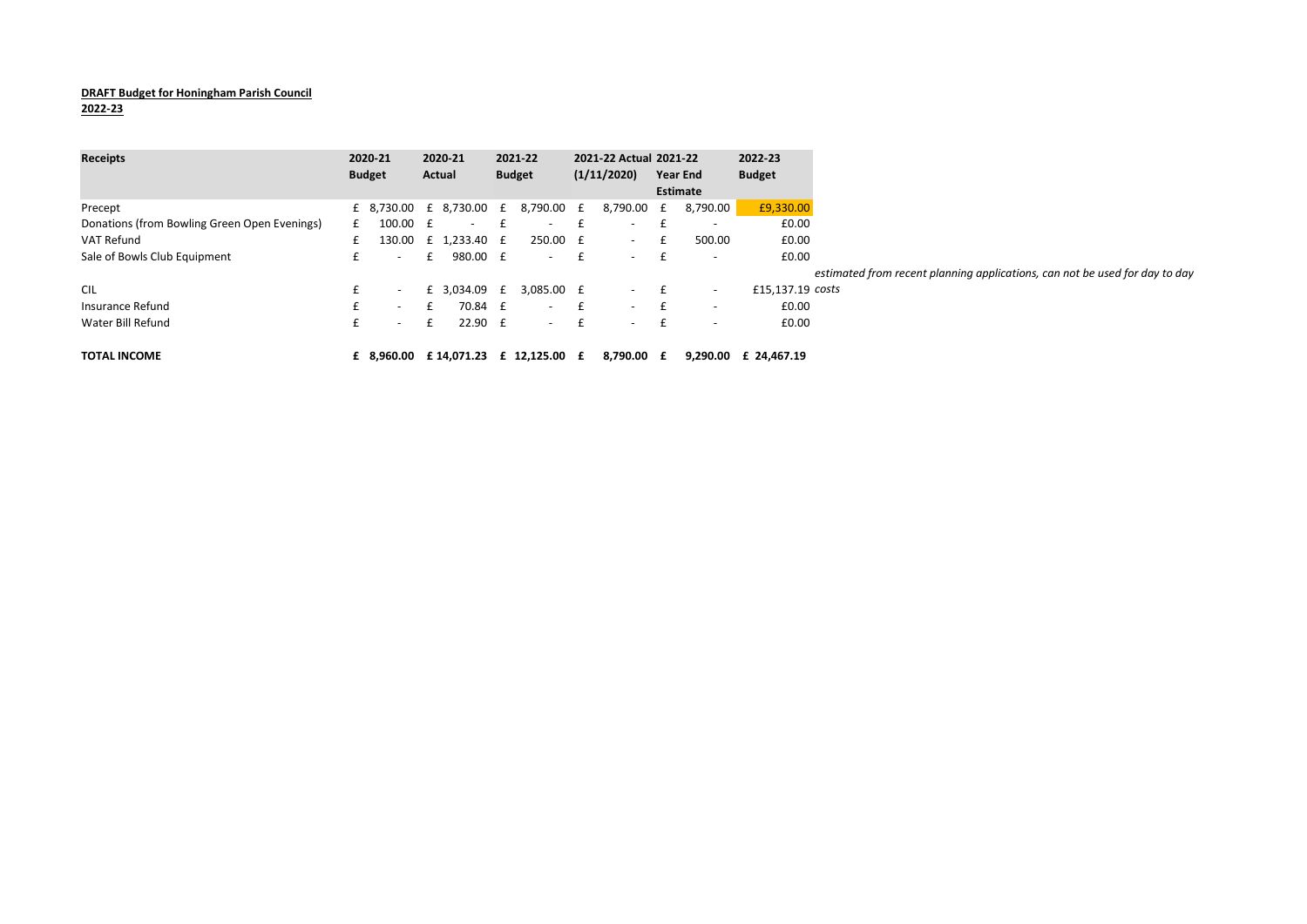## DRAFT Budget for Honingham Parish Council

2022-23

| <b>Receipts</b>                              | 2020-21       |                          | 2020-21 |              | 2021-22       |                                      |              | 2021-22 Actual 2021-22 |                 |                          | 2022-23              |                                                                             |
|----------------------------------------------|---------------|--------------------------|---------|--------------|---------------|--------------------------------------|--------------|------------------------|-----------------|--------------------------|----------------------|-----------------------------------------------------------------------------|
|                                              | <b>Budget</b> |                          | Actual  |              | <b>Budget</b> |                                      | (1/11/2020)  |                        | <b>Year End</b> |                          | <b>Budget</b>        |                                                                             |
|                                              |               |                          |         |              |               |                                      |              |                        | Estimate        |                          |                      |                                                                             |
| Precept                                      |               | £ 8,730.00 £ 8,730.00 £  |         |              |               | 8,790.00 £                           |              | 8,790.00 £             |                 | 8,790.00                 | £9,330.00            |                                                                             |
| Donations (from Bowling Green Open Evenings) | £             | 100.00 £                 |         | $\sim$       |               | $\overline{\phantom{a}}$             |              |                        |                 | $\overline{\phantom{a}}$ | £0.00                |                                                                             |
| VAT Refund                                   |               | 130.00                   |         | £ 1.233.40 £ |               | 250.00 £                             |              | $\sim$                 |                 | 500.00                   | £0.00                |                                                                             |
| Sale of Bowls Club Equipment                 |               | $\overline{\phantom{0}}$ |         | 980.00 £     |               | $\sim$                               | £            | $\sim$                 |                 | $\overline{\phantom{0}}$ | £0.00                |                                                                             |
|                                              |               |                          |         |              |               |                                      |              |                        |                 |                          |                      | estimated from recent planning applications, can not be used for day to day |
| <b>CIL</b>                                   |               | $\overline{\phantom{a}}$ |         | £ 3,034.09 £ |               | 3,085.00 £                           |              | $\sim$                 |                 | $\overline{\phantom{a}}$ | £15,137.19 costs     |                                                                             |
| Insurance Refund                             | t.            | $\sim$                   |         | 70.84 £      |               | $\sim$                               | $\mathbf{f}$ | $\sim$                 |                 | $\overline{\phantom{a}}$ | £0.00                |                                                                             |
| Water Bill Refund                            | t.            | $\overline{\phantom{0}}$ | £       | $22.90$ £    |               | $\sim$                               | £            | $\sim$                 | $+$             | $\overline{\phantom{a}}$ | £0.00                |                                                                             |
|                                              |               |                          |         |              |               |                                      |              |                        |                 |                          |                      |                                                                             |
| <b>TOTAL INCOME</b>                          |               |                          |         |              |               | £ 8.960.00 £ 14.071.23 £ 12.125.00 £ |              | 8.790.00 £             |                 |                          | 9.290.00 £ 24.467.19 |                                                                             |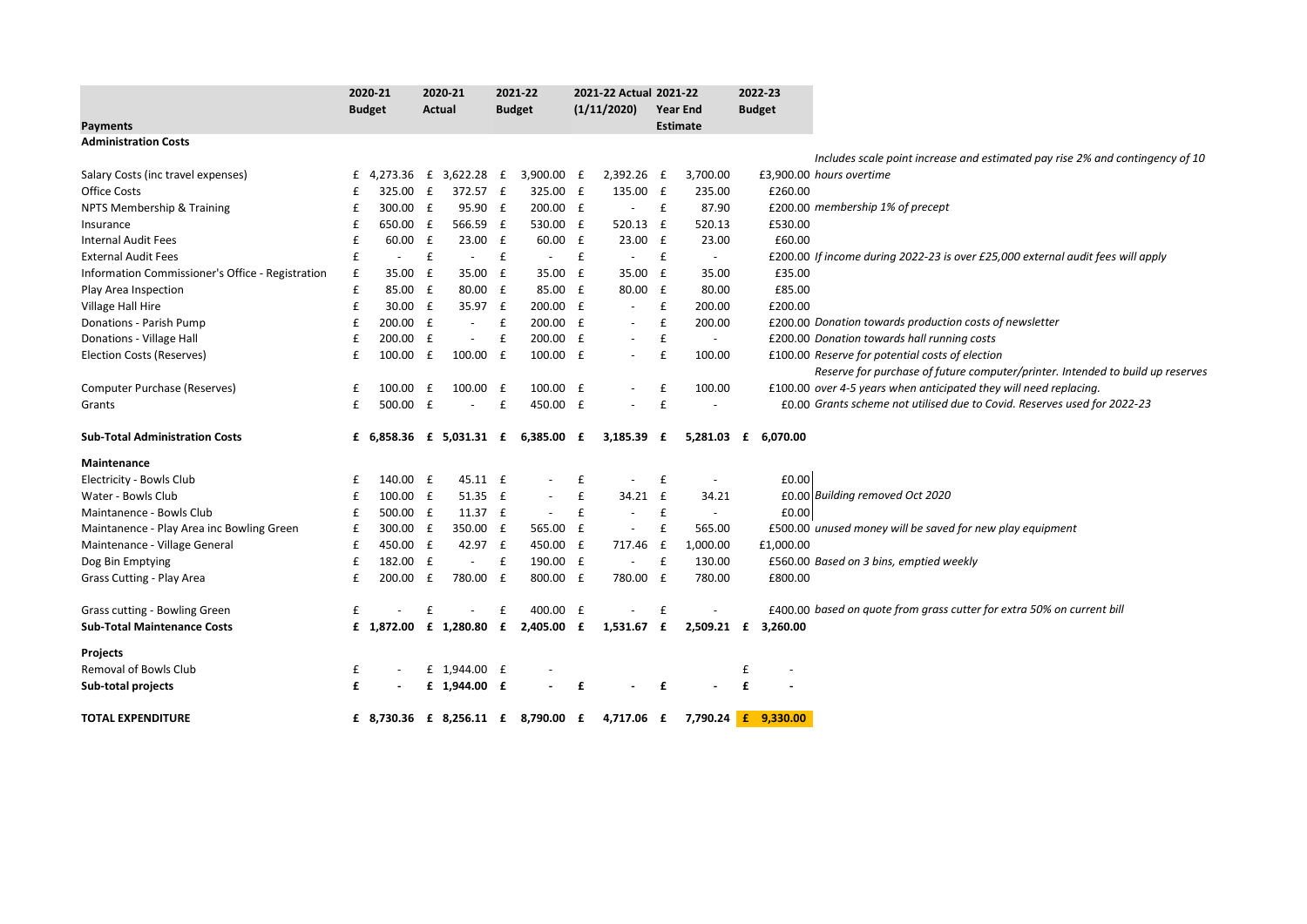|                                                  | 2020-21 |               | 2020-21      |                          | 2021-22     |                                    | 2021-22 Actual 2021-22 |                          |                    |                          | 2022-23             |                                                                                 |
|--------------------------------------------------|---------|---------------|--------------|--------------------------|-------------|------------------------------------|------------------------|--------------------------|--------------------|--------------------------|---------------------|---------------------------------------------------------------------------------|
|                                                  |         | <b>Budget</b> |              | Actual                   |             | <b>Budget</b>                      |                        | (1/11/2020)              |                    | <b>Year End</b>          | <b>Budget</b>       |                                                                                 |
| <b>Payments</b>                                  |         |               |              |                          |             |                                    |                        |                          |                    | <b>Estimate</b>          |                     |                                                                                 |
| <b>Administration Costs</b>                      |         |               |              |                          |             |                                    |                        |                          |                    |                          |                     |                                                                                 |
|                                                  |         |               |              |                          |             |                                    |                        |                          |                    |                          |                     | Includes scale point increase and estimated pay rise 2% and contingency of 10   |
| Salary Costs (inc travel expenses)               | £       |               |              | 4,273.36 £ 3,622.28 £    |             | 3,900.00 £                         |                        | 2,392.26                 | £                  | 3,700.00                 |                     | £3,900.00 hours overtime                                                        |
| <b>Office Costs</b>                              | f       | 325.00        | $\mathbf{f}$ | 372.57 £                 |             | 325.00 £                           |                        | 135.00 £                 |                    | 235.00                   | £260.00             |                                                                                 |
| NPTS Membership & Training                       | £       | 300.00        | £            | 95.90 £                  |             | 200.00 £                           |                        | $\overline{\phantom{a}}$ | $\mathbf{f}$       | 87.90                    |                     | £200.00 membership 1% of precept                                                |
| Insurance                                        | £       | 650.00 £      |              | 566.59 £                 |             | 530.00 £                           |                        | 520.13                   | f                  | 520.13                   | £530.00             |                                                                                 |
| <b>Internal Audit Fees</b>                       | £       | 60.00         | £            | 23.00 £                  |             | 60.00 £                            |                        | 23.00                    | £                  | 23.00                    | £60.00              |                                                                                 |
| <b>External Audit Fees</b>                       | £       | $\sim$        | £            | $\sim$                   | $\mathbf f$ | $\sim$                             | £                      | $\sim$                   | $\pmb{\mathsf{f}}$ | $\sim$                   |                     | £200.00 If income during 2022-23 is over £25,000 external audit fees will apply |
| Information Commissioner's Office - Registration | £       | 35.00         | £            | 35.00 £                  |             | 35.00                              | $\mathbf{f}$           | 35.00                    | £                  | 35.00                    | £35.00              |                                                                                 |
| Play Area Inspection                             | £       | 85.00 £       |              | 80.00 £                  |             | 85.00 £                            |                        | 80.00                    | £                  | 80.00                    | £85.00              |                                                                                 |
| Village Hall Hire                                | £       | 30.00 £       |              | 35.97 £                  |             | 200.00 £                           |                        | $\overline{\phantom{a}}$ | £                  | 200.00                   | £200.00             |                                                                                 |
| Donations - Parish Pump                          | £       | 200.00 £      |              | $\overline{\phantom{a}}$ | £           | 200.00                             | £                      | $\overline{\phantom{a}}$ | £                  | 200.00                   |                     | £200.00 Donation towards production costs of newsletter                         |
| Donations - Village Hall                         | £       | 200.00        | £            |                          | £           | 200.00                             | $\mathbf{f}$           | $\overline{\phantom{a}}$ | £                  | $\overline{\phantom{a}}$ |                     | £200.00 Donation towards hall running costs                                     |
| <b>Election Costs (Reserves)</b>                 | £       | 100.00        | £            | 100.00 £                 |             | 100.00 £                           |                        | $\overline{\phantom{a}}$ | £                  | 100.00                   |                     | £100.00 Reserve for potential costs of election                                 |
|                                                  |         |               |              |                          |             |                                    |                        |                          |                    |                          |                     | Reserve for purchase of future computer/printer. Intended to build up reserves  |
| Computer Purchase (Reserves)                     | £       | 100.00        | £            | $100.00$ £               |             | 100.00 £                           |                        | $\overline{\phantom{0}}$ | £                  | 100.00                   |                     | £100.00 over 4-5 years when anticipated they will need replacing.               |
| Grants                                           | £       | 500.00 £      |              | $\sim$                   | £           | 450.00 £                           |                        | $\overline{a}$           | $\pmb{\mathsf{f}}$ | $\overline{a}$           |                     | £0.00 Grants scheme not utilised due to Covid. Reserves used for 2022-23        |
| <b>Sub-Total Administration Costs</b>            |         |               |              |                          |             | £ 6,858.36 £ 5,031.31 £ 6,385.00 £ |                        | 3,185.39                 | £                  |                          | 5,281.03 £ 6,070.00 |                                                                                 |
| <b>Maintenance</b>                               |         |               |              |                          |             |                                    |                        |                          |                    |                          |                     |                                                                                 |
| Electricity - Bowls Club                         | £       | 140.00 £      |              | 45.11 £                  |             |                                    | £                      | $\overline{\phantom{a}}$ | $\mathbf{f}$       | $\overline{\phantom{a}}$ | £0.00               |                                                                                 |
| Water - Bowls Club                               | £       | 100.00 £      |              | 51.35 £                  |             | $\blacksquare$                     | £                      | 34.21                    | $\mathbf{f}$       | 34.21                    |                     | £0.00 Building removed Oct 2020                                                 |
| Maintanence - Bowls Club                         | £       | 500.00 £      |              | 11.37 £                  |             | $\blacksquare$                     | £                      | $\overline{\phantom{a}}$ | £                  | $\sim$                   | £0.00               |                                                                                 |
| Maintanence - Play Area inc Bowling Green        | £       | 300.00 £      |              | 350.00 £                 |             | 565.00 £                           |                        | $\sim$                   | $\pmb{\mathsf{f}}$ | 565.00                   |                     | £500.00 unused money will be saved for new play equipment                       |
| Maintenance - Village General                    | £       | 450.00 £      |              | 42.97 £                  |             | 450.00 £                           |                        | 717.46                   | $\mathbf{f}$       | 1,000.00                 | £1,000.00           |                                                                                 |
| Dog Bin Emptying                                 | £       | 182.00 £      |              | $\sim$                   | £           | 190.00 £                           |                        | $\overline{\phantom{a}}$ | £                  | 130.00                   |                     | £560.00 Based on 3 bins, emptied weekly                                         |
| Grass Cutting - Play Area                        | £       | 200.00        | $\mathbf{f}$ | 780.00 £                 |             | 800.00 £                           |                        | 780.00                   | £                  | 780.00                   | £800.00             |                                                                                 |
| Grass cutting - Bowling Green                    | £       |               | £            |                          | £           | 400.00 £                           |                        |                          | £                  |                          |                     | £400.00 based on quote from grass cutter for extra 50% on current bill          |
| <b>Sub-Total Maintenance Costs</b>               |         |               |              |                          |             | £ 1,872.00 £ 1,280.80 £ 2,405.00 £ |                        | 1,531.67 £               |                    |                          | 2,509.21 £ 3,260.00 |                                                                                 |
| <b>Projects</b>                                  |         |               |              |                          |             |                                    |                        |                          |                    |                          |                     |                                                                                 |
| Removal of Bowls Club                            | £       |               |              | £ 1,944.00 £             |             |                                    |                        |                          |                    |                          | £                   |                                                                                 |
| Sub-total projects                               | £       |               |              | £ 1,944.00 £             |             |                                    | £                      |                          | £                  |                          | £                   |                                                                                 |
| <b>TOTAL EXPENDITURE</b>                         |         |               |              |                          |             | £ 8,730.36 £ 8,256.11 £ 8,790.00 £ |                        | 4,717.06 £               |                    |                          | 7,790.24 £ 9,330.00 |                                                                                 |